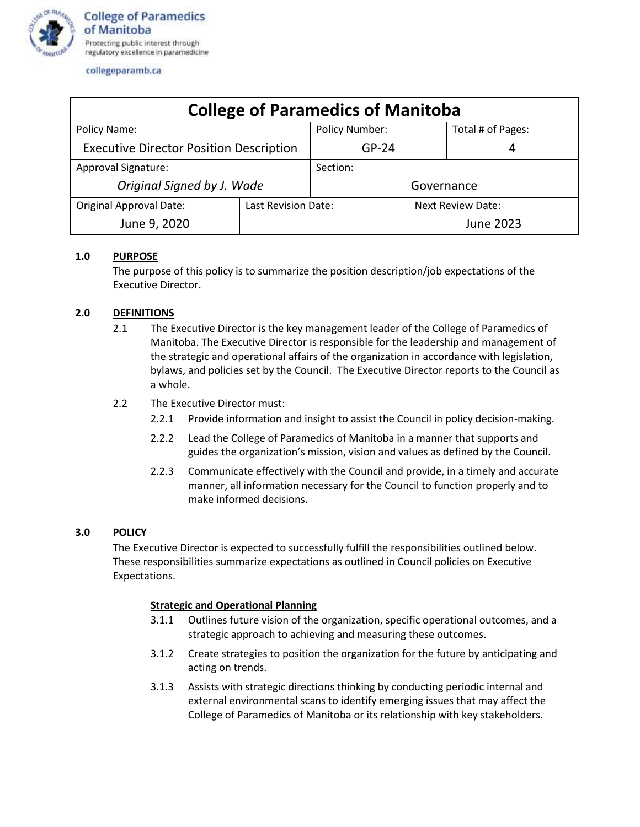

| <b>College of Paramedics of Manitoba</b>       |                     |                       |                          |                   |
|------------------------------------------------|---------------------|-----------------------|--------------------------|-------------------|
| Policy Name:                                   |                     | <b>Policy Number:</b> |                          | Total # of Pages: |
| <b>Executive Director Position Description</b> |                     | $GP-24$               |                          | 4                 |
| Approval Signature:                            |                     | Section:              |                          |                   |
| Original Signed by J. Wade                     |                     | Governance            |                          |                   |
| <b>Original Approval Date:</b>                 | Last Revision Date: |                       | <b>Next Review Date:</b> |                   |
| June 9, 2020                                   |                     |                       |                          | <b>June 2023</b>  |

# **1.0 PURPOSE**

The purpose of this policy is to summarize the position description/job expectations of the Executive Director.

# **2.0 DEFINITIONS**

- 2.1 The Executive Director is the key management leader of the College of Paramedics of Manitoba. The Executive Director is responsible for the leadership and management of the strategic and operational affairs of the organization in accordance with legislation, bylaws, and policies set by the Council. The Executive Director reports to the Council as a whole.
- 2.2 The Executive Director must:
	- 2.2.1 Provide information and insight to assist the Council in policy decision-making.
	- 2.2.2 Lead the College of Paramedics of Manitoba in a manner that supports and guides the organization's mission, vision and values as defined by the Council.
	- 2.2.3 Communicate effectively with the Council and provide, in a timely and accurate manner, all information necessary for the Council to function properly and to make informed decisions.

# **3.0 POLICY**

The Executive Director is expected to successfully fulfill the responsibilities outlined below. These responsibilities summarize expectations as outlined in Council policies on Executive Expectations.

# **Strategic and Operational Planning**

- 3.1.1 Outlines future vision of the organization, specific operational outcomes, and a strategic approach to achieving and measuring these outcomes.
- 3.1.2 Create strategies to position the organization for the future by anticipating and acting on trends.
- 3.1.3 Assists with strategic directions thinking by conducting periodic internal and external environmental scans to identify emerging issues that may affect the College of Paramedics of Manitoba or its relationship with key stakeholders.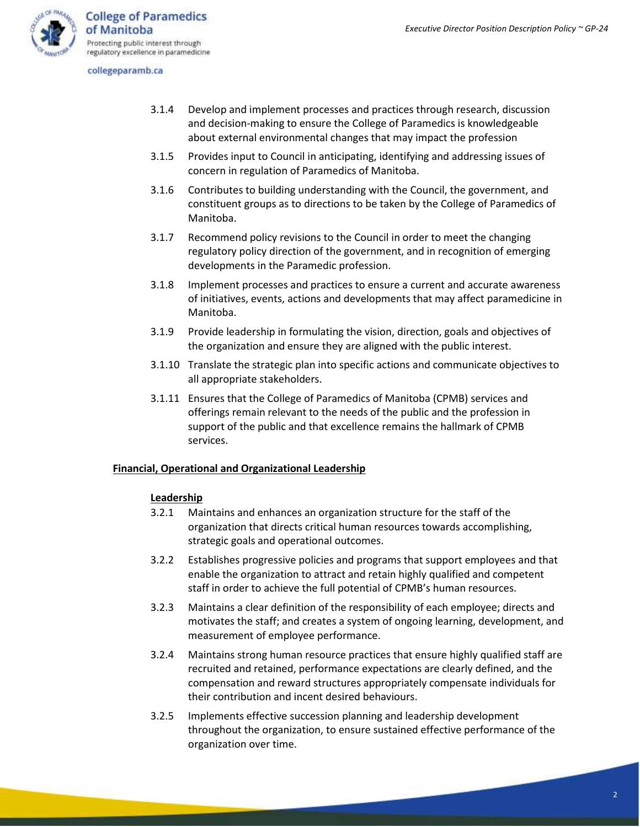

- 3.1.4 Develop and implement processes and practices through research, discussion and decision-making to ensure the College of Paramedics is knowledgeable about external environmental changes that may impact the profession
- 3.1.5 Provides input to Council in anticipating, identifying and addressing issues of concern in regulation of Paramedics of Manitoba.
- 3.1.6 Contributes to building understanding with the Council, the government, and constituent groups as to directions to be taken by the College of Paramedics of Manitoba.
- 3.1.7 Recommend policy revisions to the Council in order to meet the changing regulatory policy direction of the government, and in recognition of emerging developments in the Paramedic profession.
- 3.1.8 Implement processes and practices to ensure a current and accurate awareness of initiatives, events, actions and developments that may affect paramedicine in Manitoba.
- 3.1.9 Provide leadership in formulating the vision, direction, goals and objectives of the organization and ensure they are aligned with the public interest.
- 3.1.10 Translate the strategic plan into specific actions and communicate objectives to all appropriate stakeholders.
- 3.1.11 Ensures that the College of Paramedics of Manitoba (CPMB) services and offerings remain relevant to the needs of the public and the profession in support of the public and that excellence remains the hallmark of CPMB services.

# **Financial, Operational and Organizational Leadership**

## **Leadership**

- 3.2.1 Maintains and enhances an organization structure for the staff of the organization that directs critical human resources towards accomplishing, strategic goals and operational outcomes.
- 3.2.2 Establishes progressive policies and programs that support employees and that enable the organization to attract and retain highly qualified and competent staff in order to achieve the full potential of CPMB's human resources.
- 3.2.3 Maintains a clear definition of the responsibility of each employee; directs and motivates the staff; and creates a system of ongoing learning, development, and measurement of employee performance.
- 3.2.4 Maintains strong human resource practices that ensure highly qualified staff are recruited and retained, performance expectations are clearly defined, and the compensation and reward structures appropriately compensate individuals for their contribution and incent desired behaviours.
- 3.2.5 Implements effective succession planning and leadership development throughout the organization, to ensure sustained effective performance of the organization over time.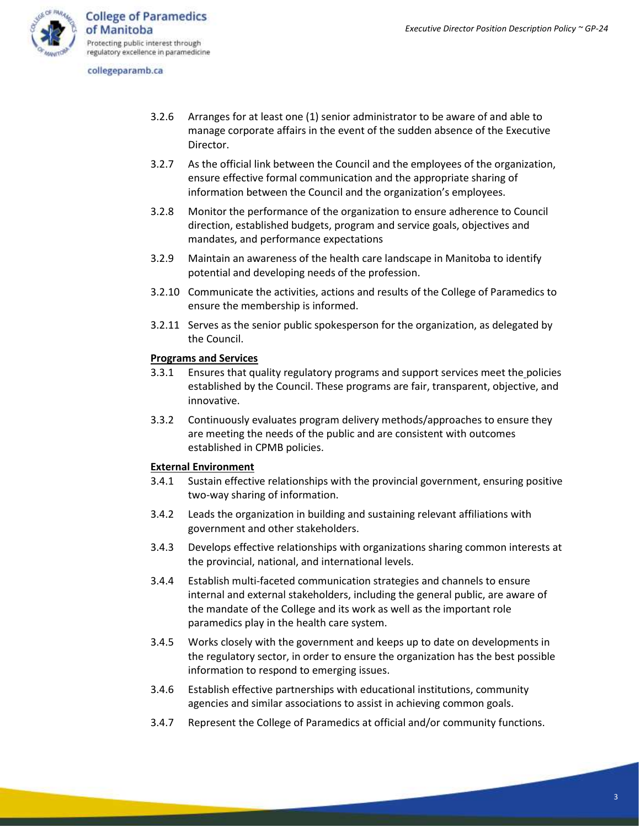- 3.2.6 Arranges for at least one (1) senior administrator to be aware of and able to manage corporate affairs in the event of the sudden absence of the Executive Director.
- 3.2.7 As the official link between the Council and the employees of the organization, ensure effective formal communication and the appropriate sharing of information between the Council and the organization's employees.
- 3.2.8 Monitor the performance of the organization to ensure adherence to Council direction, established budgets, program and service goals, objectives and mandates, and performance expectations
- 3.2.9 Maintain an awareness of the health care landscape in Manitoba to identify potential and developing needs of the profession.
- 3.2.10 Communicate the activities, actions and results of the College of Paramedics to ensure the membership is informed.
- 3.2.11 Serves as the senior public spokesperson for the organization, as delegated by the Council.

## **Programs and Services**

- 3.3.1 Ensures that quality regulatory programs and support services meet the policies established by the Council. These programs are fair, transparent, objective, and innovative.
- 3.3.2 Continuously evaluates program delivery methods/approaches to ensure they are meeting the needs of the public and are consistent with outcomes established in CPMB policies.

## **External Environment**

- 3.4.1 Sustain effective relationships with the provincial government, ensuring positive two-way sharing of information.
- 3.4.2 Leads the organization in building and sustaining relevant affiliations with government and other stakeholders.
- 3.4.3 Develops effective relationships with organizations sharing common interests at the provincial, national, and international levels.
- 3.4.4 Establish multi-faceted communication strategies and channels to ensure internal and external stakeholders, including the general public, are aware of the mandate of the College and its work as well as the important role paramedics play in the health care system.
- 3.4.5 Works closely with the government and keeps up to date on developments in the regulatory sector, in order to ensure the organization has the best possible information to respond to emerging issues.
- 3.4.6 Establish effective partnerships with educational institutions, community agencies and similar associations to assist in achieving common goals.
- 3.4.7 Represent the College of Paramedics at official and/or community functions.